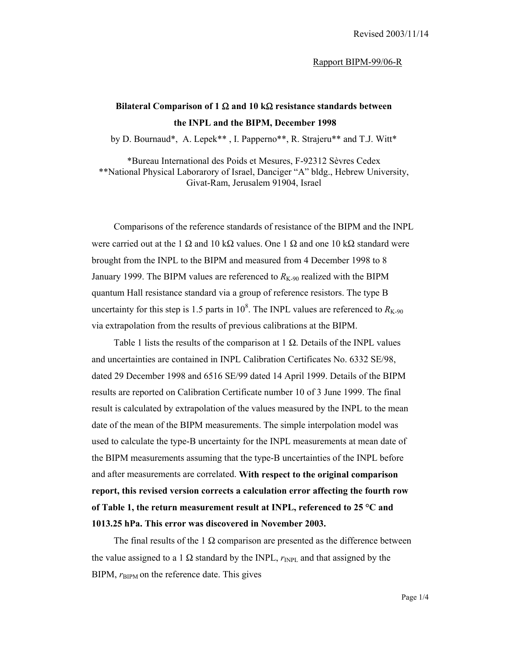## Rapport BIPM-99/06-R

## **Bilateral Comparison of 1** Ω **and 10 k**Ω **resistance standards between the INPL and the BIPM, December 1998**

by D. Bournaud\*, A. Lepek\*\* , I. Papperno\*\*, R. Strajeru\*\* and T.J. Witt\*

\*Bureau International des Poids et Mesures, F-92312 Sèvres Cedex \*\*National Physical Laborarory of Israel, Danciger "A" bldg., Hebrew University, Givat-Ram, Jerusalem 91904, Israel

 Comparisons of the reference standards of resistance of the BIPM and the INPL were carried out at the 1  $\Omega$  and 10 k $\Omega$  values. One 1  $\Omega$  and one 10 k $\Omega$  standard were brought from the INPL to the BIPM and measured from 4 December 1998 to 8 January 1999. The BIPM values are referenced to  $R_{K-90}$  realized with the BIPM quantum Hall resistance standard via a group of reference resistors. The type B uncertainty for this step is 1.5 parts in  $10^8$ . The INPL values are referenced to  $R_{K-90}$ via extrapolation from the results of previous calibrations at the BIPM.

Table 1 lists the results of the comparison at  $1 \Omega$ . Details of the INPL values and uncertainties are contained in INPL Calibration Certificates No. 6332 SE/98, dated 29 December 1998 and 6516 SE/99 dated 14 April 1999. Details of the BIPM results are reported on Calibration Certificate number 10 of 3 June 1999. The final result is calculated by extrapolation of the values measured by the INPL to the mean date of the mean of the BIPM measurements. The simple interpolation model was used to calculate the type-B uncertainty for the INPL measurements at mean date of the BIPM measurements assuming that the type-B uncertainties of the INPL before and after measurements are correlated. **With respect to the original comparison report, this revised version corrects a calculation error affecting the fourth row of Table 1, the return measurement result at INPL, referenced to 25 °C and 1013.25 hPa. This error was discovered in November 2003.**

The final results of the 1  $\Omega$  comparison are presented as the difference between the value assigned to a 1  $\Omega$  standard by the INPL,  $r_{\text{INPL}}$  and that assigned by the BIPM,  $r_{\text{BIPM}}$  on the reference date. This gives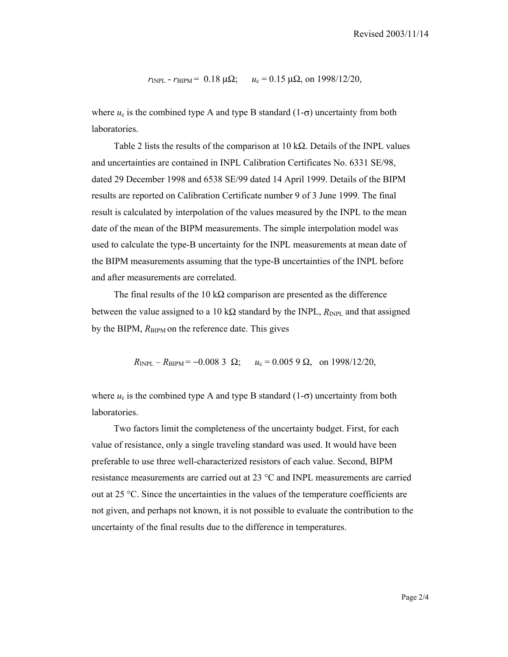$$
r_{\text{INPL}} - r_{\text{BIPM}} = 0.18 \,\mu\Omega
$$
;  $u_c = 0.15 \,\mu\Omega$ , on 1998/12/20,

where  $u_c$  is the combined type A and type B standard (1- $\sigma$ ) uncertainty from both laboratories.

 Table 2 lists the results of the comparison at 10 kΩ. Details of the INPL values and uncertainties are contained in INPL Calibration Certificates No. 6331 SE/98, dated 29 December 1998 and 6538 SE/99 dated 14 April 1999. Details of the BIPM results are reported on Calibration Certificate number 9 of 3 June 1999. The final result is calculated by interpolation of the values measured by the INPL to the mean date of the mean of the BIPM measurements. The simple interpolation model was used to calculate the type-B uncertainty for the INPL measurements at mean date of the BIPM measurements assuming that the type-B uncertainties of the INPL before and after measurements are correlated.

The final results of the 10 kΩ comparison are presented as the difference between the value assigned to a 10 k $\Omega$  standard by the INPL,  $R_{\text{INPL}}$  and that assigned by the BIPM,  $R_{\text{BIPM}}$  on the reference date. This gives

$$
R_{\text{INPL}} - R_{\text{BIPM}} = -0.0083 \Omega
$$
;  $u_c = 0.0059 \Omega$ , on 1998/12/20,

where  $u_c$  is the combined type A and type B standard  $(1-\sigma)$  uncertainty from both laboratories.

 Two factors limit the completeness of the uncertainty budget. First, for each value of resistance, only a single traveling standard was used. It would have been preferable to use three well-characterized resistors of each value. Second, BIPM resistance measurements are carried out at 23 °C and INPL measurements are carried out at 25 °C. Since the uncertainties in the values of the temperature coefficients are not given, and perhaps not known, it is not possible to evaluate the contribution to the uncertainty of the final results due to the difference in temperatures.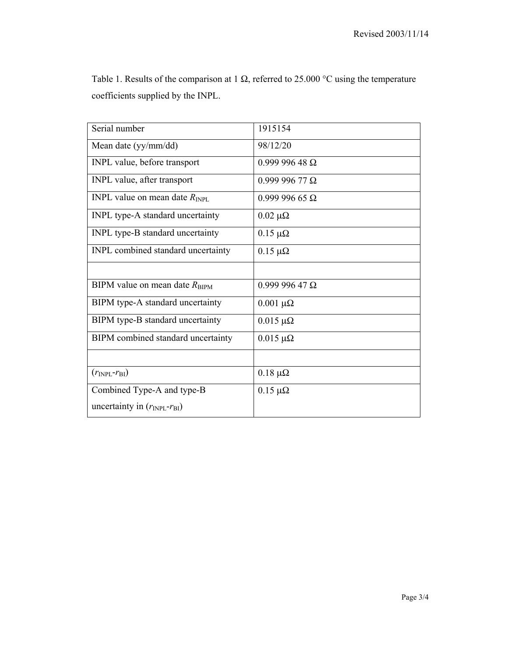| Serial number                                    | 1915154             |
|--------------------------------------------------|---------------------|
| Mean date (yy/mm/dd)                             | 98/12/20            |
| INPL value, before transport                     | $0.99999648 \Omega$ |
| INPL value, after transport                      | $0.99999677 \Omega$ |
| INPL value on mean date $R_{\text{INPL}}$        | $0.99999665 \Omega$ |
| INPL type-A standard uncertainty                 | $0.02 \mu\Omega$    |
| INPL type-B standard uncertainty                 | $0.15 \mu\Omega$    |
| INPL combined standard uncertainty               | $0.15 \mu\Omega$    |
|                                                  |                     |
| BIPM value on mean date $R_{\text{BIPM}}$        | $0.99999647 \Omega$ |
| BIPM type-A standard uncertainty                 | $0.001 \mu\Omega$   |
| BIPM type-B standard uncertainty                 | $0.015 \mu\Omega$   |
| BIPM combined standard uncertainty               | $0.015 \mu\Omega$   |
|                                                  |                     |
| $(r_{\text{INPL}} - r_{\text{BI}})$              | $0.18 \mu\Omega$    |
| Combined Type-A and type-B                       | $0.15 \mu\Omega$    |
| uncertainty in $(r_{\text{INPL}}-r_{\text{BI}})$ |                     |

Table 1. Results of the comparison at 1  $\Omega$ , referred to 25.000 °C using the temperature coefficients supplied by the INPL.